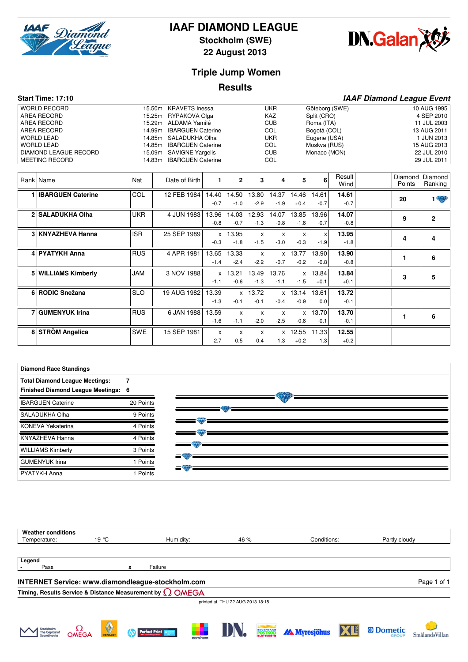

# **IAAF DIAMOND LEAGUE**

**Stockholm (SWE)**



**22 August 2013**

## **Triple Jump Women**

### **Results**

|             | <b>Start Time: 17:10</b>     |            |                                    |        |              |                            |              |              |                           |             | <b>IAAF Diamond League Event</b> |            |                |
|-------------|------------------------------|------------|------------------------------------|--------|--------------|----------------------------|--------------|--------------|---------------------------|-------------|----------------------------------|------------|----------------|
|             | <b>WORLD RECORD</b>          |            | <b>KRAVETS Inessa</b><br>15.50m    |        |              |                            | <b>UKR</b>   |              | Göteborg (SWE)            |             |                                  |            | 10 AUG 1995    |
|             | AREA RECORD                  |            | RYPAKOVA Olga<br>15.25m            |        |              |                            | KAZ          |              | Split (CRO)               |             |                                  |            | 4 SEP 2010     |
| AREA RECORD |                              |            | <b>ALDAMA Yamilé</b><br>15.29m     |        |              | <b>CUB</b><br>Roma (ITA)   |              |              |                           |             |                                  |            | 11 JUL 2003    |
|             | <b>AREA RECORD</b>           |            | <b>IBARGUEN Caterine</b><br>14.99m |        | <b>COL</b>   |                            |              |              | Bogotá (COL)              |             | 13 AUG 2011                      |            |                |
|             | <b>WORLD LEAD</b>            |            | SALADUKHA Olha<br>14.85m           |        |              | <b>UKR</b><br>Eugene (USA) |              |              |                           |             |                                  | 1 JUN 2013 |                |
|             | <b>WORLD LEAD</b>            |            | <b>IBARGUEN Caterine</b><br>14.85m |        |              | COL<br>Moskva (RUS)        |              |              |                           |             | 15 AUG 2013                      |            |                |
|             | <b>DIAMOND LEAGUE RECORD</b> |            | <b>SAVIGNE Yargelis</b><br>15.09m  |        |              | <b>CUB</b><br>Monaco (MON) |              |              |                           | 22 JUL 2010 |                                  |            |                |
|             | <b>MEETING RECORD</b>        |            | <b>IBARGUEN Caterine</b><br>14.83m |        |              | <b>COL</b>                 |              |              |                           | 29 JUL 2011 |                                  |            |                |
|             |                              |            |                                    |        |              |                            |              |              |                           |             |                                  |            |                |
|             |                              |            |                                    | 1      | $\mathbf{2}$ | 3                          | 4            | 5            | 6                         | Result      |                                  | Diamond    | Diamond        |
|             | <b>Rank Name</b>             | Nat        | Date of Birth                      |        |              |                            |              |              |                           | Wind        |                                  | Points     | Ranking        |
|             | 1 <b>IBARGUEN</b> Caterine   | COL        | 12 FEB 1984                        | 14.40  | 14.50        | 13.80                      | 14.37        | 14.46        | 14.61                     | 14.61       |                                  |            |                |
|             |                              |            |                                    | $-0.7$ | $-1.0$       | $-2.9$                     |              |              | $-0.7$                    | $-0.7$      |                                  | 20         | $\sqrt{2}$     |
|             |                              |            |                                    |        |              |                            | $-1.9$       | $+0.4$       |                           |             |                                  |            |                |
|             | 2 SALADUKHA Olha             | <b>UKR</b> | 4 JUN 1983                         | 13.96  | 14.03        | 12.93                      | 14.07        | 13.85        | 13.96                     | 14.07       |                                  |            | $\overline{2}$ |
|             |                              |            |                                    | $-0.8$ | $-0.7$       | $-1.3$                     | $-0.8$       | $-1.8$       | $-0.7$                    | $-0.8$      |                                  | 9          |                |
|             | 3 KNYAZHEVA Hanna            | <b>ISR</b> | 25 SEP 1989                        |        | x 13.95      | $\mathsf{x}$               | X            | $\mathsf{x}$ | $\boldsymbol{\mathsf{x}}$ | 13.95       |                                  |            |                |
|             |                              |            |                                    | $-0.3$ | $-1.8$       | $-1.5$                     | $-3.0$       | $-0.3$       | $-1.9$                    | $-1.8$      |                                  | 4          | 4              |
|             |                              |            |                                    |        |              |                            |              |              |                           |             |                                  |            |                |
|             | 4 PYATYKH Anna               | <b>RUS</b> | 4 APR 1981                         | 13.65  | 13.33        | $\mathsf{x}$               | $\mathsf{x}$ | 13.77        | 13.90                     | 13.90       |                                  | 1.         | 6              |
|             |                              |            |                                    | $-1.4$ | $-2.4$       | $-2.2$                     | $-0.7$       | $-0.2$       | $-0.8$                    | $-0.8$      |                                  |            |                |
|             | 5 WILLIAMS Kimberly          | <b>JAM</b> | 3 NOV 1988                         |        | $x$ 13.21    | 13.49                      | 13.76        |              | x 13.84                   | 13.84       |                                  |            |                |
|             |                              |            |                                    | $-1.1$ | $-0.6$       | $-1.3$                     | $-1.1$       | $-1.5$       | $+0.1$                    | $+0.1$      |                                  | 3          | 5              |
|             |                              |            |                                    |        |              |                            |              |              |                           |             |                                  |            |                |
|             | 6 RODIC Snežana              | <b>SLO</b> | 19 AUG 1982                        | 13.39  |              | x 13.72                    |              | $x$ 13.14    | 13.61                     | 13.72       |                                  |            |                |
|             |                              |            |                                    | $-1.3$ | $-0.1$       | $-0.1$                     | $-0.4$       | $-0.9$       | 0.0                       | $-0.1$      |                                  |            |                |
|             | 7 GUMENYUK Irina             | <b>RUS</b> | 6 JAN 1988                         | 13.59  | $\mathsf{x}$ | $\boldsymbol{\mathsf{x}}$  | X            |              | x 13.70                   | 13.70       |                                  |            |                |
|             |                              |            |                                    | $-1.6$ | $-1.1$       | $-2.0$                     | $-2.5$       | $-0.8$       | $-0.1$                    | $-0.1$      |                                  | 1          | 6              |
|             |                              |            |                                    |        |              |                            |              |              |                           |             |                                  |            |                |
|             | 8 STRÖM Angelica             | <b>SWE</b> | 15 SEP 1981                        | X      | X            | X                          | $\mathsf{X}$ | 12.55        | 11.33                     | 12.55       |                                  |            |                |
|             |                              |            |                                    | $-2.7$ | $-0.5$       | $-0.4$                     | $-1.3$       | $+0.2$       | $-1.3$                    | $+0.2$      |                                  |            |                |



| <b>Weather conditions</b>                                               |                |           |                                  |             |               |  |  |  |  |
|-------------------------------------------------------------------------|----------------|-----------|----------------------------------|-------------|---------------|--|--|--|--|
| Temperature:                                                            | $19^{\circ}$ C | Humidity: | 46 %                             | Conditions: | Partly cloudy |  |  |  |  |
|                                                                         |                |           |                                  |             |               |  |  |  |  |
| Legend                                                                  |                |           |                                  |             |               |  |  |  |  |
| Pass                                                                    |                | Failure   |                                  |             |               |  |  |  |  |
| <b>INTERNET Service: www.diamondleague-stockholm.com</b><br>Page 1 of 1 |                |           |                                  |             |               |  |  |  |  |
| Timing, Results Service & Distance Measurement by $\Omega$ OMEGA        |                |           |                                  |             |               |  |  |  |  |
|                                                                         |                |           | printed at THU 22 AUG 2013 18:18 |             |               |  |  |  |  |
|                                                                         |                |           |                                  |             |               |  |  |  |  |